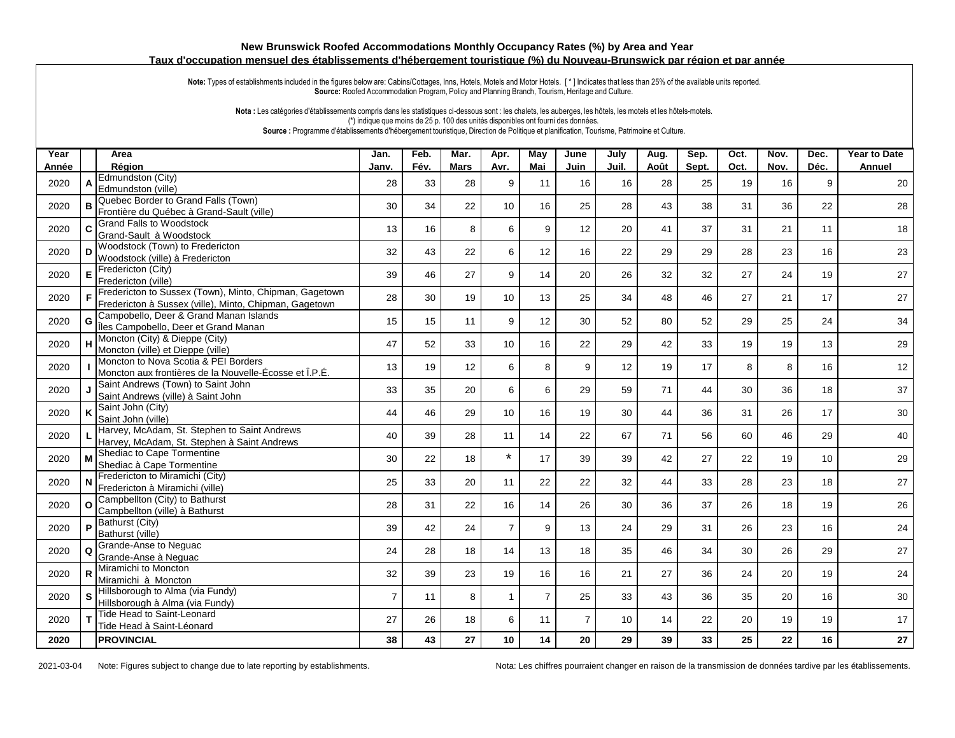## **New Brunswick Roofed Accommodations Monthly Occupancy Rates (%) by Area and Year Taux d'occupation mensuel des établissements d'hébergement touristique (%) du Nouveau-Brunswick par région et par année**

Note: Types of establishments included in the figures below are: Cabins/Cottages, Inns, Hotels, Motels and Motor Hotels. [\*] Indicates that less than 25% of the available units reported. **Source:** Roofed Accommodation Program, Policy and Planning Branch, Tourism, Heritage and Culture.

Nota : Les catégories d'établissements compris dans les statistiques ci-dessous sont : les chalets, les auberges, les hôtels, les motels et les hôtels-motels. (\*) indique que moins de 25 p. 100 des unités disponibles ont fourni des données. **Source :** Programme d'établissements d'hébergement touristique, Direction de Politique et planification, Tourisme, Patrimoine et Culture.

| Year<br>Année |              | Area<br>Région                                                                                                     | Jan.<br>Janv.  | Feb.<br>Fév. | Mar.<br><b>Mars</b> | Apr.<br>Avr.    | May<br>Mai     | June<br>Juin   | July<br>Juil. | Aug.<br>Août | Sep.<br>Sept. | Oct.<br>Oct. | Nov.<br>Nov. | Dec.<br>Déc. | Year to Date<br>Annuel |
|---------------|--------------|--------------------------------------------------------------------------------------------------------------------|----------------|--------------|---------------------|-----------------|----------------|----------------|---------------|--------------|---------------|--------------|--------------|--------------|------------------------|
| 2020          | A            | Edmundston (City)<br>Edmundston (ville)                                                                            | 28             | 33           | 28                  | 9               | 11             | 16             | 16            | 28           | 25            | 19           | 16           | 9            | 20                     |
| 2020          |              | Quebec Border to Grand Falls (Town)<br>Frontière du Québec à Grand-Sault (ville)                                   | 30             | 34           | 22                  | 10              | 16             | 25             | 28            | 43           | 38            | 31           | 36           | 22           | 28                     |
| 2020          | C.           | <b>Grand Falls to Woodstock</b><br>Grand-Sault à Woodstock                                                         | 13             | 16           | 8                   | 6               | 9              | 12             | 20            | 41           | 37            | 31           | 21           | 11           | 18                     |
| 2020          | D            | Woodstock (Town) to Fredericton<br>Woodstock (ville) à Fredericton                                                 | 32             | 43           | 22                  | 6               | 12             | 16             | 22            | 29           | 29            | 28           | 23           | 16           | 23                     |
| 2020          | $\mathsf E$  | Fredericton (City)<br>Fredericton (ville)                                                                          | 39             | 46           | 27                  | 9               | 14             | 20             | 26            | 32           | 32            | 27           | 24           | 19           | 27                     |
| 2020          |              | F Fredericton to Sussex (Town), Minto, Chipman, Gagetown<br>Fredericton à Sussex (ville), Minto, Chipman, Gagetown | 28             | 30           | 19                  | 10 <sup>1</sup> | 13             | 25             | 34            | 48           | 46            | 27           | 21           | 17           | 27                     |
| 2020          | G            | Campobello, Deer & Grand Manan Islands<br>Îles Campobello, Deer et Grand Manan                                     | 15             | 15           | 11                  | 9               | 12             | 30             | 52            | 80           | 52            | 29           | 25           | 24           | 34                     |
| 2020          | H            | Moncton (City) & Dieppe (City)<br>Moncton (ville) et Dieppe (ville)                                                | 47             | 52           | 33                  | 10 <sup>1</sup> | 16             | 22             | 29            | 42           | 33            | 19           | 19           | 13           | 29                     |
| 2020          |              | Moncton to Nova Scotia & PEI Borders<br>Moncton aux frontières de la Nouvelle-Écosse et Î.P.É.                     | 13             | 19           | 12                  | 6               | 8              | 9              | 12            | 19           | 17            | 8            | 8            | 16           | 12                     |
| 2020          |              | Saint Andrews (Town) to Saint John<br>Saint Andrews (ville) à Saint John                                           | 33             | 35           | 20                  | 6               | 6              | 29             | 59            | 71           | 44            | 30           | 36           | 18           | 37                     |
| 2020          |              | Saint John (City)<br>Saint John (ville)                                                                            | 44             | 46           | 29                  | 10 <sup>1</sup> | 16             | 19             | 30            | 44           | 36            | 31           | 26           | 17           | 30                     |
| 2020          |              | Harvey, McAdam, St. Stephen to Saint Andrews<br>Harvey, McAdam, St. Stephen à Saint Andrews                        | 40             | 39           | 28                  | 11              | 14             | 22             | 67            | 71           | 56            | 60           | 46           | 29           | 40                     |
| 2020          | M            | Shediac to Cape Tormentine<br>Shediac à Cape Tormentine                                                            | 30             | 22           | 18                  | $\star$         | 17             | 39             | 39            | 42           | 27            | 22           | 19           | 10           | 29                     |
| 2020          |              | Fredericton to Miramichi (City)<br>Fredericton à Miramichi (ville)                                                 | 25             | 33           | 20                  | 11              | 22             | 22             | 32            | 44           | 33            | 28           | 23           | 18           | 27                     |
| 2020          | $\Omega$     | Campbellton (City) to Bathurst<br>Campbellton (ville) à Bathurst                                                   | 28             | 31           | 22                  | 16              | 14             | 26             | 30            | 36           | 37            | 26           | 18           | 19           | 26                     |
| 2020          | P            | Bathurst (City)<br>Bathurst (ville)                                                                                | 39             | 42           | 24                  | $\overline{7}$  | 9              | 13             | 24            | 29           | 31            | 26           | 23           | 16           | 24                     |
| 2020          | Q            | Grande-Anse to Nequac<br>Grande-Anse à Neguac                                                                      | 24             | 28           | 18                  | 14              | 13             | 18             | 35            | 46           | 34            | 30           | 26           | 29           | 27                     |
| 2020          | $\mathsf{R}$ | Miramichi to Moncton<br>Miramichi à Moncton                                                                        | 32             | 39           | 23                  | 19              | 16             | 16             | 21            | 27           | 36            | 24           | 20           | 19           | 24                     |
| 2020          |              | Hillsborough to Alma (via Fundy)<br>Hillsborough à Alma (via Fundy)                                                | $\overline{7}$ | 11           | 8                   | $\mathbf{1}$    | $\overline{7}$ | 25             | 33            | 43           | 36            | 35           | 20           | 16           | $30\,$                 |
| 2020          |              | Tide Head to Saint-Leonard<br>Tide Head à Saint-Léonard                                                            | 27             | 26           | 18                  | 6               | 11             | $\overline{7}$ | 10            | 14           | 22            | 20           | 19           | 19           | 17                     |
| 2020          |              | <b>PROVINCIAL</b>                                                                                                  | 38             | 43           | 27                  | 10              | 14             | 20             | 29            | 39           | 33            | 25           | 22           | 16           | 27                     |

2021-03-04 Note: Figures subject to change due to late reporting by establishments. Nota: Les chiffres pourraient changer en raison de la transmission de données tardive par les établissements.